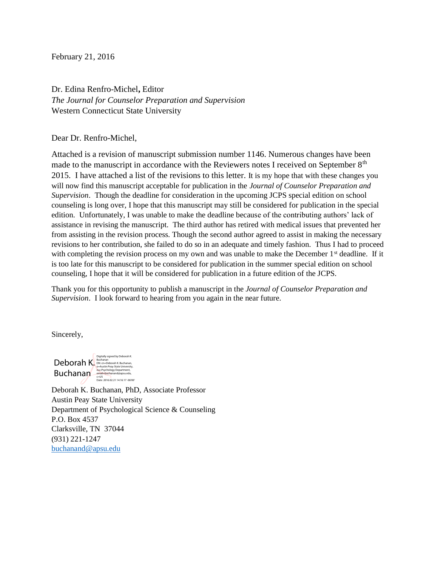February 21, 2016

Dr. Edina Renfro-Michel**,** Editor *The Journal for Counselor Preparation and Supervision* Western Connecticut State University

Dear Dr. Renfro-Michel,

Attached is a revision of manuscript submission number 1146. Numerous changes have been made to the manuscript in accordance with the Reviewers notes I received on September  $8<sup>th</sup>$ 2015. I have attached a list of the revisions to this letter. It is my hope that with these changes you will now find this manuscript acceptable for publication in the *Journal of Counselor Preparation and Supervision*. Though the deadline for consideration in the upcoming JCPS special edition on school counseling is long over, I hope that this manuscript may still be considered for publication in the special edition. Unfortunately, I was unable to make the deadline because of the contributing authors' lack of assistance in revising the manuscript. The third author has retired with medical issues that prevented her from assisting in the revision process. Though the second author agreed to assist in making the necessary revisions to her contribution, she failed to do so in an adequate and timely fashion. Thus I had to proceed with completing the revision process on my own and was unable to make the December 1<sup>st</sup> deadline. If it is too late for this manuscript to be considered for publication in the summer special edition on school counseling, I hope that it will be considered for publication in a future edition of the JCPS.

Thank you for this opportunity to publish a manuscript in the *Journal of Counselor Preparation and Supervision*. I look forward to hearing from you again in the near future.

Sincerely,

Deborah K. **Buchanan** Digitally signed by Deborah K.<br>Buchanan<br>DN: cn=Deborah K. Buchanan,<br>o=Austin Peay State University,<br>ou=Psychology Department,<br>email=buchanand@apsu.edu,<br>C=US<br>Date: 2016.02.21 14:16:17 -06'00

Deborah K. Buchanan, PhD, Associate Professor Austin Peay State University Department of Psychological Science & Counseling P.O. Box 4537 Clarksville, TN 37044 (931) 221-1247 [buchanand@apsu.edu](mailto:buchanand@apsu.edu)